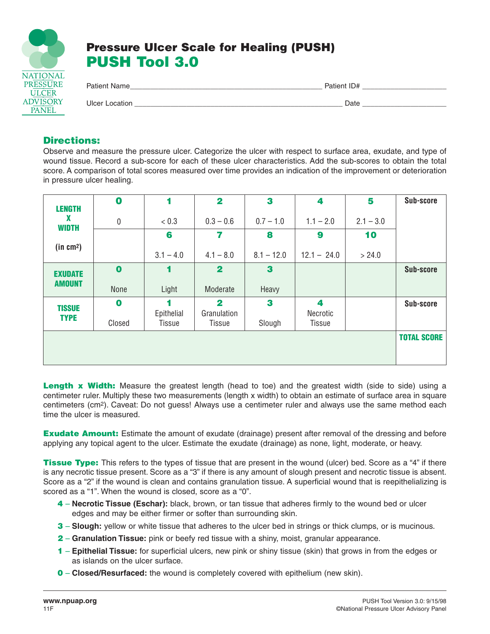

## Pressure Ulcer Scale for Healing (PUSH) PUSH Tool 3.0

| <b>Patient Name</b> | Patient ID# |
|---------------------|-------------|
| Ulcer Location      | Date        |

### Directions:

Observe and measure the pressure ulcer. Categorize the ulcer with respect to surface area, exudate, and type of wound tissue. Record a sub-score for each of these ulcer characteristics. Add the sub-scores to obtain the total score. A comparison of total scores measured over time provides an indication of the improvement or deterioration in pressure ulcer healing.

| <b>LENGTH</b>         | $\mathbf 0$ |                             | $\overline{\mathbf{2}}$      | 3            | 4                  | 5           | Sub-score          |
|-----------------------|-------------|-----------------------------|------------------------------|--------------|--------------------|-------------|--------------------|
| X<br><b>WIDTH</b>     | $\mathbf 0$ | < 0.3                       | $0.3 - 0.6$                  | $0.7 - 1.0$  | $1.1 - 2.0$        | $2.1 - 3.0$ |                    |
|                       |             | 6                           | 7                            | 8            | 9                  | 10          |                    |
| (in cm <sup>2</sup> ) |             | $3.1 - 4.0$                 | $4.1 - 8.0$                  | $8.1 - 12.0$ | $12.1 - 24.0$      | > 24.0      |                    |
| <b>EXUDATE</b>        | $\mathbf 0$ |                             | $\overline{\mathbf{2}}$      | $\mathbf{3}$ |                    |             | Sub-score          |
| <b>AMOUNT</b>         | None        | Light                       | Moderate                     | Heavy        |                    |             |                    |
| <b>TISSUE</b>         | $\bullet$   |                             | $\mathbf 2$                  | 3            | 4                  |             | Sub-score          |
| <b>TYPE</b>           | Closed      | Epithelial<br><b>Tissue</b> | Granulation<br><b>Tissue</b> | Slough       | Necrotic<br>Tissue |             |                    |
|                       |             |                             |                              |              |                    |             | <b>TOTAL SCORE</b> |
|                       |             |                             |                              |              |                    |             |                    |

Length x Width: Measure the greatest length (head to toe) and the greatest width (side to side) using a centimeter ruler. Multiply these two measurements (length x width) to obtain an estimate of surface area in square centimeters (cm2). Caveat: Do not guess! Always use a centimeter ruler and always use the same method each time the ulcer is measured.

**Exudate Amount:** Estimate the amount of exudate (drainage) present after removal of the dressing and before applying any topical agent to the ulcer. Estimate the exudate (drainage) as none, light, moderate, or heavy.

**Tissue Type:** This refers to the types of tissue that are present in the wound (ulcer) bed. Score as a "4" if there is any necrotic tissue present. Score as a "3" if there is any amount of slough present and necrotic tissue is absent. Score as a "2" if the wound is clean and contains granulation tissue. A superficial wound that is reepithelializing is scored as a "1". When the wound is closed, score as a "0".

- 4 **Necrotic Tissue (Eschar):** black, brown, or tan tissue that adheres firmly to the wound bed or ulcer edges and may be either firmer or softer than surrounding skin.
- 3 **Slough:** yellow or white tissue that adheres to the ulcer bed in strings or thick clumps, or is mucinous.
- 2 **Granulation Tissue:** pink or beefy red tissue with a shiny, moist, granular appearance.
- 1 **Epithelial Tissue:** for superficial ulcers, new pink or shiny tissue (skin) that grows in from the edges or as islands on the ulcer surface.
- 0 **Closed/Resurfaced:** the wound is completely covered with epithelium (new skin).